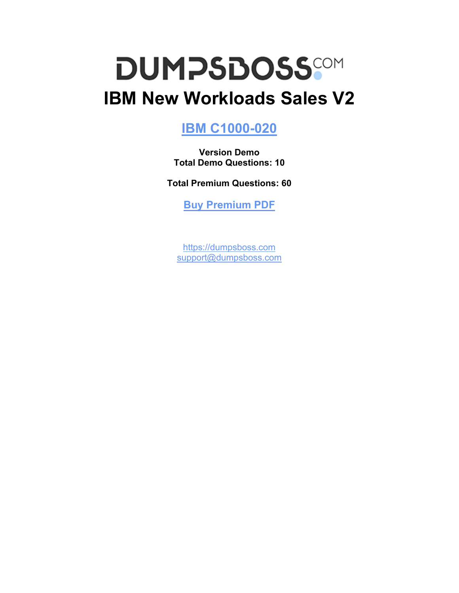# **DUMPSDOSS IBM New Workloads Sales V2**

# **[IBM C1000-020](https://dumpsboss.com/ibm-exam/c1000-020/)**

**Version Demo Total Demo Questions: 10**

**Total Premium Questions: 60**

**[Buy Premium PDF](https://dumpsboss.com/ibm-exam/c1000-020/)**

[https://dumpsboss.com](https://dumpsboss.com/) [support@dumpsboss.com](mailto:support@dumpsboss.com)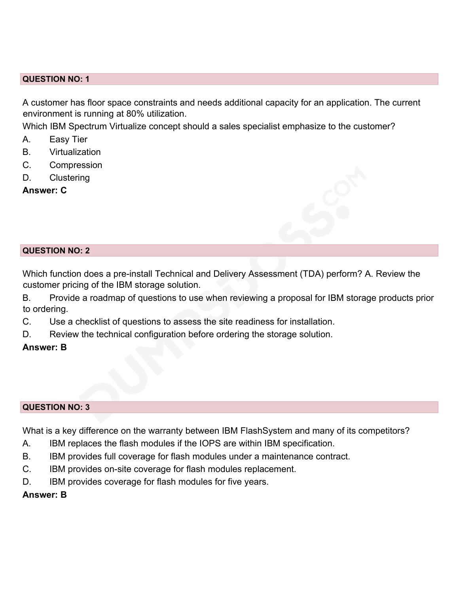A customer has floor space constraints and needs additional capacity for an application. The current environment is running at 80% utilization.

Which IBM Spectrum Virtualize concept should a sales specialist emphasize to the customer?

- A. Easy Tier
- B. Virtualization
- C. Compression
- D. Clustering

**Answer: C**



Which function does a pre-install Technical and Delivery Assessment (TDA) perform? A. Review the customer pricing of the IBM storage solution.

B. Provide a roadmap of questions to use when reviewing a proposal for IBM storage products prior to ordering.

- C. Use a checklist of questions to assess the site readiness for installation.
- D. Review the technical configuration before ordering the storage solution.

## **Answer: B**

#### **QUESTION NO: 3**

What is a key difference on the warranty between IBM FlashSystem and many of its competitors?

- A. IBM replaces the flash modules if the IOPS are within IBM specification.
- B. IBM provides full coverage for flash modules under a maintenance contract.
- C. IBM provides on-site coverage for flash modules replacement.
- D. **IBM provides coverage for flash modules for five years.**

# **Answer: B**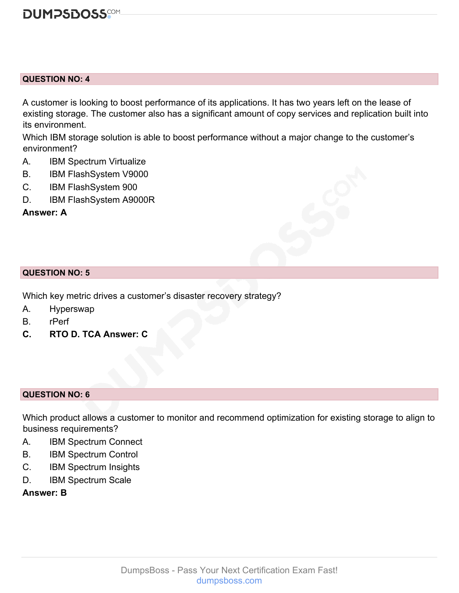

A customer is looking to boost performance of its applications. It has two years left on the lease of existing storage. The customer also has a significant amount of copy services and replication built into its environment.

Which IBM storage solution is able to boost performance without a major change to the customer's environment?

- A. IBM Spectrum Virtualize
- B. IBM FlashSystem V9000
- C. IBM FlashSystem 900
- D. IBM FlashSystem A9000R

**Answer: A**

#### **QUESTION NO: 5**

Which key metric drives a customer's disaster recovery strategy?

- A. Hyperswap
- B. rPerf
- **C. RTO D. TCA Answer: C**

#### **QUESTION NO: 6**

Which product allows a customer to monitor and recommend optimization for existing storage to align to business requirements?

- A. IBM Spectrum Connect
- B. IBM Spectrum Control
- C. IBM Spectrum Insights
- D. IBM Spectrum Scale
- **Answer: B**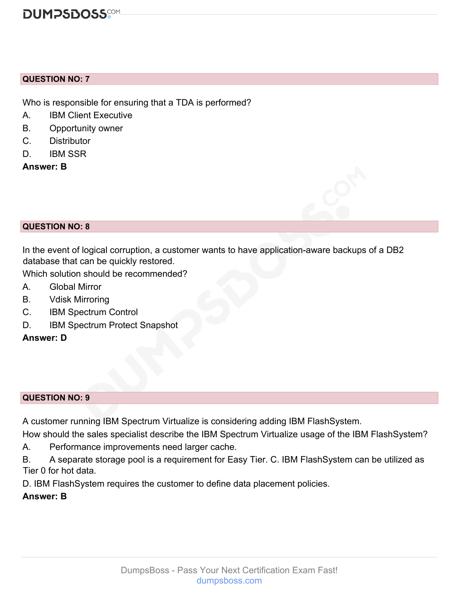Who is responsible for ensuring that a TDA is performed?

- A. IBM Client Executive
- B. Opportunity owner
- C. Distributor
- D. IBM SSR

**Answer: B**

# **QUESTION NO: 8**

In the event of logical corruption, a customer wants to have application-aware backups of a DB2 database that can be quickly restored.

Which solution should be recommended?

- A. Global Mirror
- B. Vdisk Mirroring
- C. IBM Spectrum Control
- D. IBM Spectrum Protect Snapshot

# **Answer: D**

## **QUESTION NO: 9**

A customer running IBM Spectrum Virtualize is considering adding IBM FlashSystem.

How should the sales specialist describe the IBM Spectrum Virtualize usage of the IBM FlashSystem?

A. Performance improvements need larger cache.

B. A separate storage pool is a requirement for Easy Tier. C. IBM FlashSystem can be utilized as Tier 0 for hot data.

D. IBM FlashSystem requires the customer to define data placement policies.

# **Answer: B**